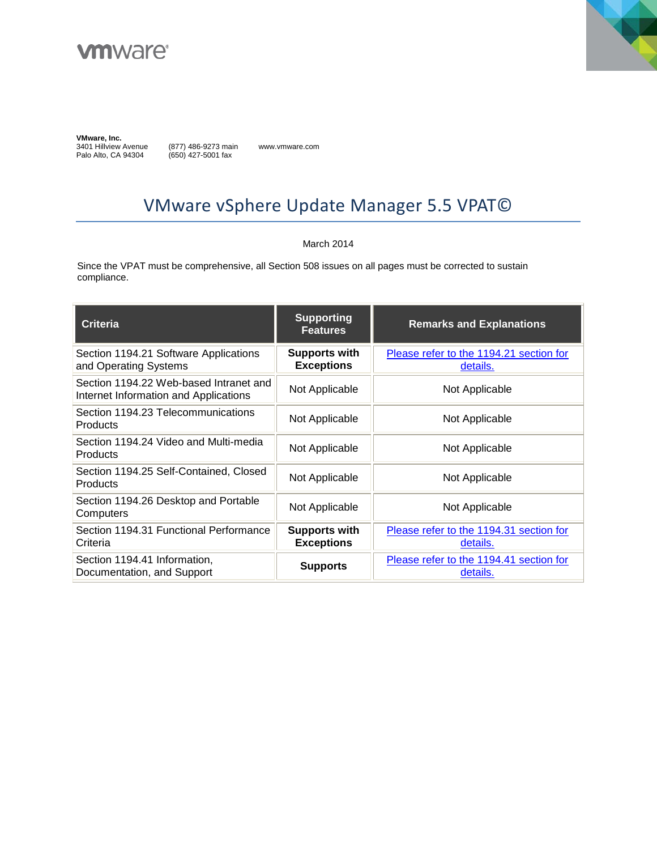



**VMware, Inc.**<br>3401 Hillview Avenue Palo Alto, CA 94304

(877) 486-9273 main (650) 427-5001 fax

www.vmware.com

# VMware vSphere Update Manager 5.5 VPAT©

#### March 2014

Since the VPAT must be comprehensive, all Section 508 issues on all pages must be corrected to sustain compliance.

| <b>Criteria</b>                                                                 | <b>Supporting</b><br><b>Features</b>      | <b>Remarks and Explanations</b>                     |
|---------------------------------------------------------------------------------|-------------------------------------------|-----------------------------------------------------|
| Section 1194.21 Software Applications<br>and Operating Systems                  | <b>Supports with</b><br><b>Exceptions</b> | Please refer to the 1194.21 section for<br>details. |
| Section 1194.22 Web-based Intranet and<br>Internet Information and Applications | Not Applicable                            | Not Applicable                                      |
| Section 1194.23 Telecommunications<br><b>Products</b>                           | Not Applicable                            | Not Applicable                                      |
| Section 1194.24 Video and Multi-media<br><b>Products</b>                        | Not Applicable                            | Not Applicable                                      |
| Section 1194.25 Self-Contained, Closed<br>Products                              | Not Applicable                            | Not Applicable                                      |
| Section 1194.26 Desktop and Portable<br>Computers                               | Not Applicable                            | Not Applicable                                      |
| Section 1194.31 Functional Performance<br>Criteria                              | <b>Supports with</b><br><b>Exceptions</b> | Please refer to the 1194.31 section for<br>details. |
| Section 1194.41 Information,<br>Documentation, and Support                      | <b>Supports</b>                           | Please refer to the 1194.41 section for<br>details. |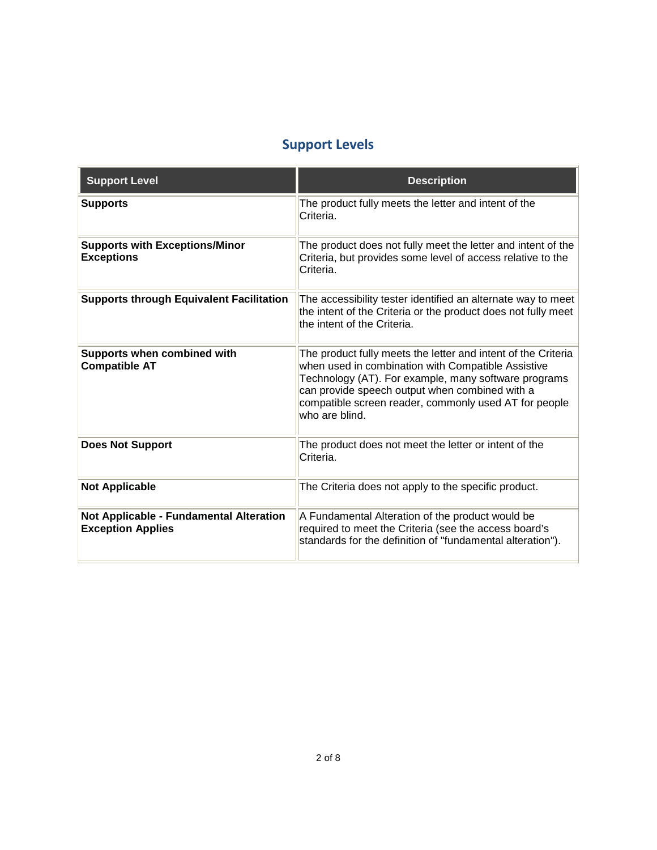## **Support Levels**

| <b>Support Level</b>                                                | <b>Description</b>                                                                                                                                                                                                                                                                                       |
|---------------------------------------------------------------------|----------------------------------------------------------------------------------------------------------------------------------------------------------------------------------------------------------------------------------------------------------------------------------------------------------|
| <b>Supports</b>                                                     | The product fully meets the letter and intent of the<br>Criteria.                                                                                                                                                                                                                                        |
| <b>Supports with Exceptions/Minor</b><br><b>Exceptions</b>          | The product does not fully meet the letter and intent of the<br>Criteria, but provides some level of access relative to the<br>Criteria.                                                                                                                                                                 |
| <b>Supports through Equivalent Facilitation</b>                     | The accessibility tester identified an alternate way to meet<br>the intent of the Criteria or the product does not fully meet<br>the intent of the Criteria.                                                                                                                                             |
| Supports when combined with<br><b>Compatible AT</b>                 | The product fully meets the letter and intent of the Criteria<br>when used in combination with Compatible Assistive<br>Technology (AT). For example, many software programs<br>can provide speech output when combined with a<br>compatible screen reader, commonly used AT for people<br>who are blind. |
| <b>Does Not Support</b>                                             | The product does not meet the letter or intent of the<br>Criteria.                                                                                                                                                                                                                                       |
| <b>Not Applicable</b>                                               | The Criteria does not apply to the specific product.                                                                                                                                                                                                                                                     |
| Not Applicable - Fundamental Alteration<br><b>Exception Applies</b> | A Fundamental Alteration of the product would be<br>required to meet the Criteria (see the access board's<br>standards for the definition of "fundamental alteration").                                                                                                                                  |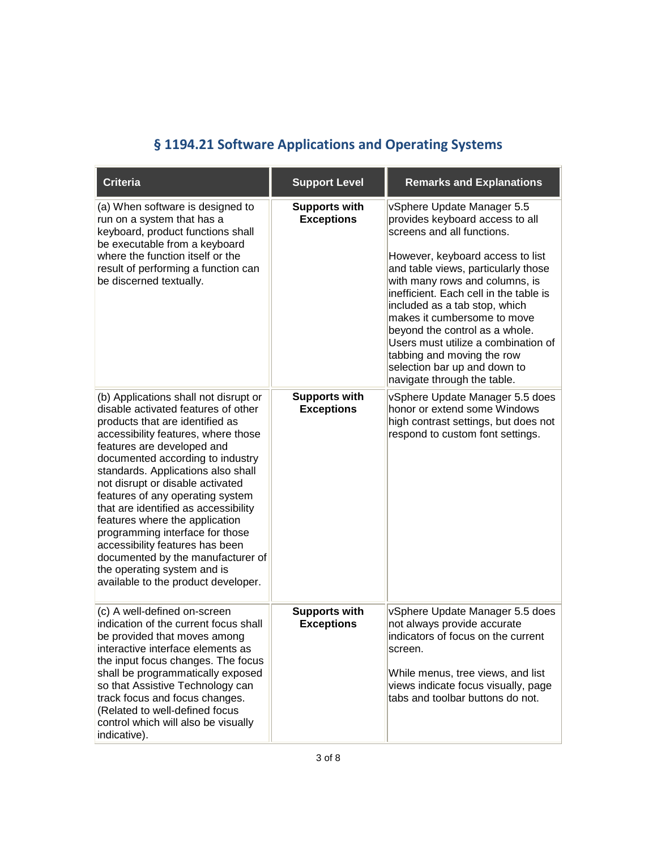|  | § 1194.21 Software Applications and Operating Systems |  |
|--|-------------------------------------------------------|--|
|  |                                                       |  |

<span id="page-2-0"></span>

| <b>Criteria</b>                                                                                                                                                                                                                                                                                                                                                                                                                                                                                                                                                                                   | <b>Support Level</b>                      | <b>Remarks and Explanations</b>                                                                                                                                                                                                                                                                                                                                                                                                                                                          |
|---------------------------------------------------------------------------------------------------------------------------------------------------------------------------------------------------------------------------------------------------------------------------------------------------------------------------------------------------------------------------------------------------------------------------------------------------------------------------------------------------------------------------------------------------------------------------------------------------|-------------------------------------------|------------------------------------------------------------------------------------------------------------------------------------------------------------------------------------------------------------------------------------------------------------------------------------------------------------------------------------------------------------------------------------------------------------------------------------------------------------------------------------------|
| (a) When software is designed to<br>run on a system that has a<br>keyboard, product functions shall<br>be executable from a keyboard<br>where the function itself or the<br>result of performing a function can<br>be discerned textually.                                                                                                                                                                                                                                                                                                                                                        | <b>Supports with</b><br><b>Exceptions</b> | vSphere Update Manager 5.5<br>provides keyboard access to all<br>screens and all functions.<br>However, keyboard access to list<br>and table views, particularly those<br>with many rows and columns, is<br>inefficient. Each cell in the table is<br>included as a tab stop, which<br>makes it cumbersome to move<br>beyond the control as a whole.<br>Users must utilize a combination of<br>tabbing and moving the row<br>selection bar up and down to<br>navigate through the table. |
| (b) Applications shall not disrupt or<br>disable activated features of other<br>products that are identified as<br>accessibility features, where those<br>features are developed and<br>documented according to industry<br>standards. Applications also shall<br>not disrupt or disable activated<br>features of any operating system<br>that are identified as accessibility<br>features where the application<br>programming interface for those<br>accessibility features has been<br>documented by the manufacturer of<br>the operating system and is<br>available to the product developer. | <b>Supports with</b><br><b>Exceptions</b> | vSphere Update Manager 5.5 does<br>honor or extend some Windows<br>high contrast settings, but does not<br>respond to custom font settings.                                                                                                                                                                                                                                                                                                                                              |
| (c) A well-defined on-screen<br>indication of the current focus shall<br>be provided that moves among<br>interactive interface elements as<br>the input focus changes. The focus<br>shall be programmatically exposed<br>so that Assistive Technology can<br>track focus and focus changes.<br>(Related to well-defined focus<br>control which will also be visually<br>indicative).                                                                                                                                                                                                              | <b>Supports with</b><br><b>Exceptions</b> | vSphere Update Manager 5.5 does<br>not always provide accurate<br>indicators of focus on the current<br>screen.<br>While menus, tree views, and list<br>views indicate focus visually, page<br>tabs and toolbar buttons do not.                                                                                                                                                                                                                                                          |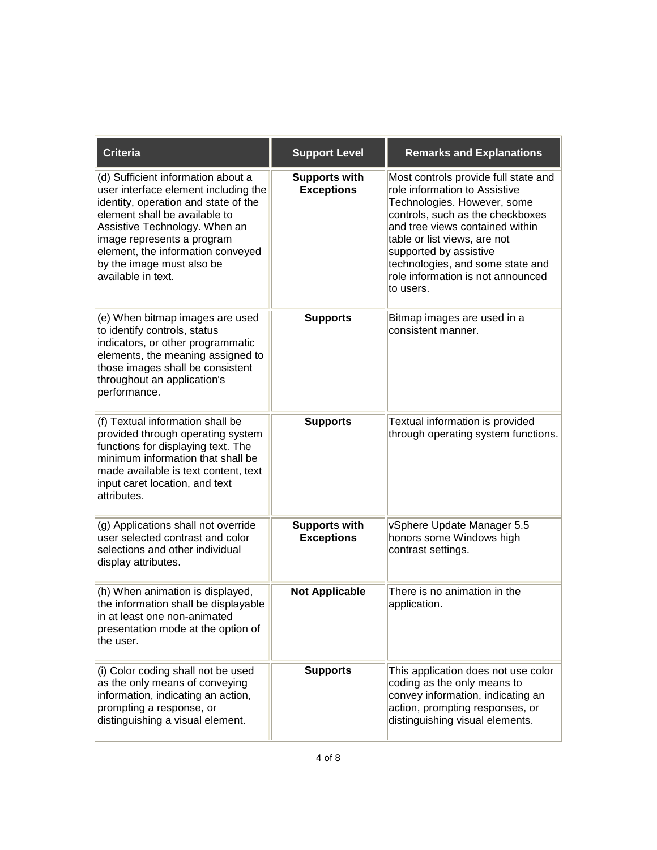| <b>Criteria</b>                                                                                                                                                                                                                                                                                            | <b>Support Level</b>                      | <b>Remarks and Explanations</b>                                                                                                                                                                                                                                                                                             |
|------------------------------------------------------------------------------------------------------------------------------------------------------------------------------------------------------------------------------------------------------------------------------------------------------------|-------------------------------------------|-----------------------------------------------------------------------------------------------------------------------------------------------------------------------------------------------------------------------------------------------------------------------------------------------------------------------------|
| (d) Sufficient information about a<br>user interface element including the<br>identity, operation and state of the<br>element shall be available to<br>Assistive Technology. When an<br>image represents a program<br>element, the information conveyed<br>by the image must also be<br>available in text. | <b>Supports with</b><br><b>Exceptions</b> | Most controls provide full state and<br>role information to Assistive<br>Technologies. However, some<br>controls, such as the checkboxes<br>and tree views contained within<br>table or list views, are not<br>supported by assistive<br>technologies, and some state and<br>role information is not announced<br>to users. |
| (e) When bitmap images are used<br>to identify controls, status<br>indicators, or other programmatic<br>elements, the meaning assigned to<br>those images shall be consistent<br>throughout an application's<br>performance.                                                                               | <b>Supports</b>                           | Bitmap images are used in a<br>consistent manner.                                                                                                                                                                                                                                                                           |
| (f) Textual information shall be<br>provided through operating system<br>functions for displaying text. The<br>minimum information that shall be<br>made available is text content, text<br>input caret location, and text<br>attributes.                                                                  | <b>Supports</b>                           | Textual information is provided<br>through operating system functions.                                                                                                                                                                                                                                                      |
| (g) Applications shall not override<br>user selected contrast and color<br>selections and other individual<br>display attributes.                                                                                                                                                                          | <b>Supports with</b><br><b>Exceptions</b> | vSphere Update Manager 5.5<br>honors some Windows high<br>contrast settings.                                                                                                                                                                                                                                                |
| (h) When animation is displayed,<br>the information shall be displayable<br>in at least one non-animated<br>presentation mode at the option of<br>the user.                                                                                                                                                | <b>Not Applicable</b>                     | There is no animation in the<br>application.                                                                                                                                                                                                                                                                                |
| (i) Color coding shall not be used<br>as the only means of conveying<br>information, indicating an action,<br>prompting a response, or<br>distinguishing a visual element.                                                                                                                                 | <b>Supports</b>                           | This application does not use color<br>coding as the only means to<br>convey information, indicating an<br>action, prompting responses, or<br>distinguishing visual elements.                                                                                                                                               |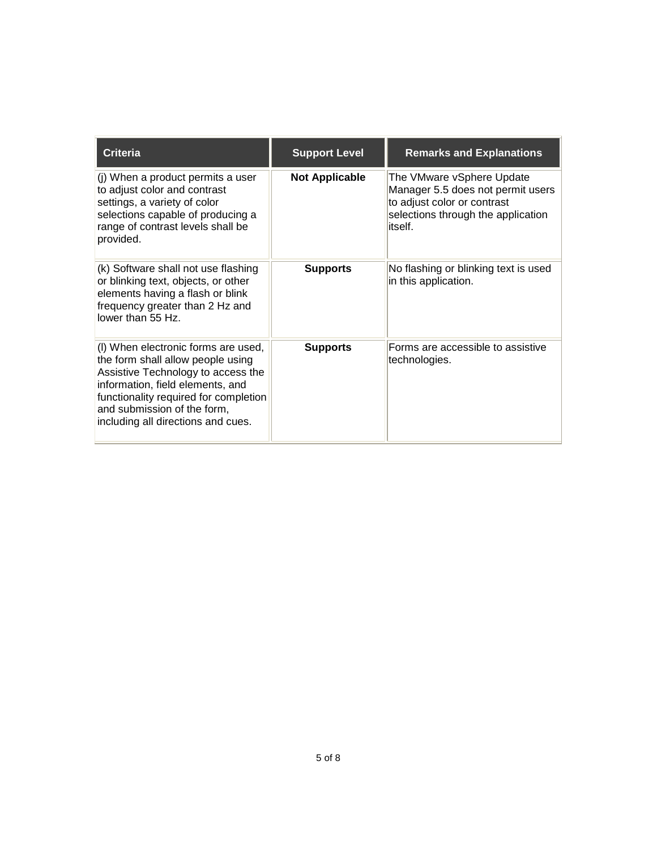| <b>Criteria</b>                                                                                                                                                                                                                                                  | <b>Support Level</b>  | <b>Remarks and Explanations</b>                                                                                                                 |
|------------------------------------------------------------------------------------------------------------------------------------------------------------------------------------------------------------------------------------------------------------------|-----------------------|-------------------------------------------------------------------------------------------------------------------------------------------------|
| (i) When a product permits a user<br>to adjust color and contrast<br>settings, a variety of color<br>selections capable of producing a<br>range of contrast levels shall be<br>provided.                                                                         | <b>Not Applicable</b> | The VMware vSphere Update<br>Manager 5.5 does not permit users<br>to adjust color or contrast<br>selections through the application<br>litself. |
| (k) Software shall not use flashing<br>or blinking text, objects, or other<br>elements having a flash or blink<br>frequency greater than 2 Hz and<br>lower than 55 Hz.                                                                                           | <b>Supports</b>       | No flashing or blinking text is used<br>in this application.                                                                                    |
| (I) When electronic forms are used,<br>the form shall allow people using<br>Assistive Technology to access the<br>information, field elements, and<br>functionality required for completion<br>and submission of the form,<br>including all directions and cues. | <b>Supports</b>       | Forms are accessible to assistive<br>technologies.                                                                                              |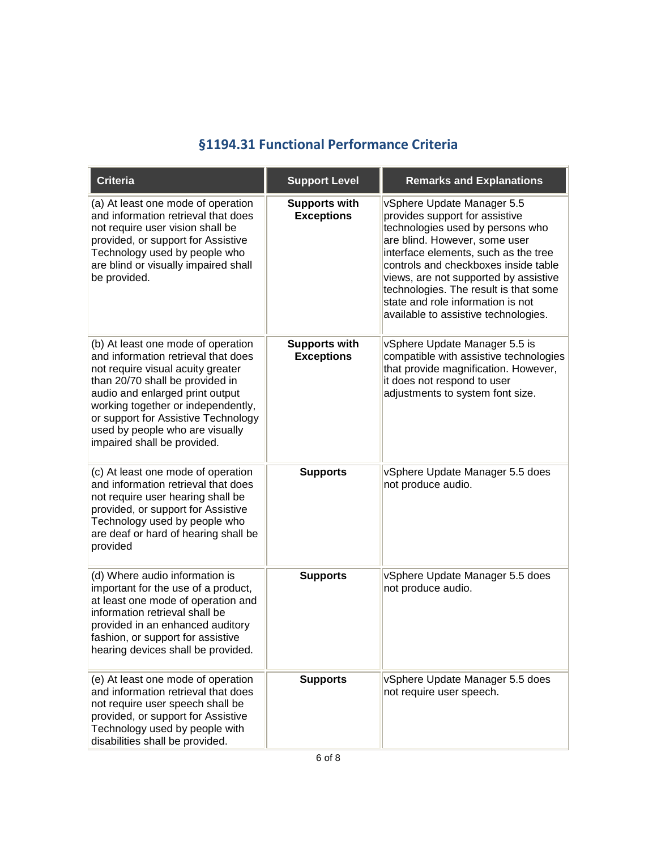#### **§1194.31 Functional Performance Criteria**

<span id="page-5-0"></span>

| <b>Criteria</b>                                                                                                                                                                                                                                                                                                                     | <b>Support Level</b>                      | <b>Remarks and Explanations</b>                                                                                                                                                                                                                                                                                                                                                  |
|-------------------------------------------------------------------------------------------------------------------------------------------------------------------------------------------------------------------------------------------------------------------------------------------------------------------------------------|-------------------------------------------|----------------------------------------------------------------------------------------------------------------------------------------------------------------------------------------------------------------------------------------------------------------------------------------------------------------------------------------------------------------------------------|
| (a) At least one mode of operation<br>and information retrieval that does<br>not require user vision shall be<br>provided, or support for Assistive<br>Technology used by people who<br>are blind or visually impaired shall<br>be provided.                                                                                        | <b>Supports with</b><br><b>Exceptions</b> | vSphere Update Manager 5.5<br>provides support for assistive<br>technologies used by persons who<br>are blind. However, some user<br>interface elements, such as the tree<br>controls and checkboxes inside table<br>views, are not supported by assistive<br>technologies. The result is that some<br>state and role information is not<br>available to assistive technologies. |
| (b) At least one mode of operation<br>and information retrieval that does<br>not require visual acuity greater<br>than 20/70 shall be provided in<br>audio and enlarged print output<br>working together or independently,<br>or support for Assistive Technology<br>used by people who are visually<br>impaired shall be provided. | <b>Supports with</b><br><b>Exceptions</b> | vSphere Update Manager 5.5 is<br>compatible with assistive technologies<br>that provide magnification. However,<br>it does not respond to user<br>adjustments to system font size.                                                                                                                                                                                               |
| (c) At least one mode of operation<br>and information retrieval that does<br>not require user hearing shall be<br>provided, or support for Assistive<br>Technology used by people who<br>are deaf or hard of hearing shall be<br>provided                                                                                           | <b>Supports</b>                           | vSphere Update Manager 5.5 does<br>not produce audio.                                                                                                                                                                                                                                                                                                                            |
| (d) Where audio information is<br>important for the use of a product,<br>at least one mode of operation and<br>information retrieval shall be<br>provided in an enhanced auditory<br>fashion, or support for assistive<br>hearing devices shall be provided.                                                                        | <b>Supports</b>                           | vSphere Update Manager 5.5 does<br>not produce audio.                                                                                                                                                                                                                                                                                                                            |
| (e) At least one mode of operation<br>and information retrieval that does<br>not require user speech shall be<br>provided, or support for Assistive<br>Technology used by people with<br>disabilities shall be provided.                                                                                                            | <b>Supports</b>                           | vSphere Update Manager 5.5 does<br>not require user speech.                                                                                                                                                                                                                                                                                                                      |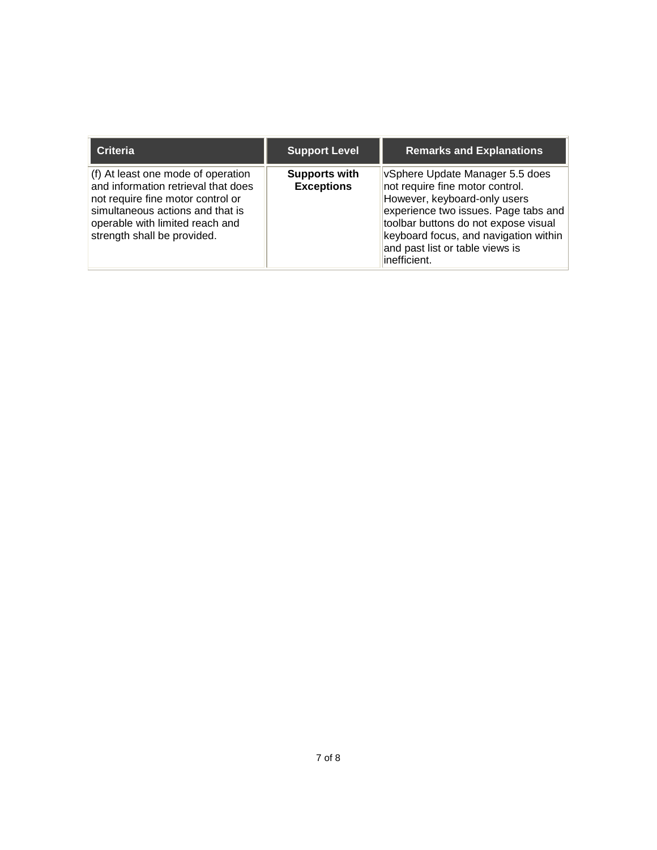| <b>Criteria</b>                                                                                                                                                                                                      | <b>Support Level</b>                      | <b>Remarks and Explanations</b>                                                                                                                                                                                                                                                 |
|----------------------------------------------------------------------------------------------------------------------------------------------------------------------------------------------------------------------|-------------------------------------------|---------------------------------------------------------------------------------------------------------------------------------------------------------------------------------------------------------------------------------------------------------------------------------|
| (f) At least one mode of operation<br>and information retrieval that does<br>not require fine motor control or<br>simultaneous actions and that is<br>operable with limited reach and<br>strength shall be provided. | <b>Supports with</b><br><b>Exceptions</b> | VSphere Update Manager 5.5 does<br>not require fine motor control.<br>However, keyboard-only users<br>experience two issues. Page tabs and<br>toolbar buttons do not expose visual<br>keyboard focus, and navigation within<br>and past list or table views is<br>linefficient. |